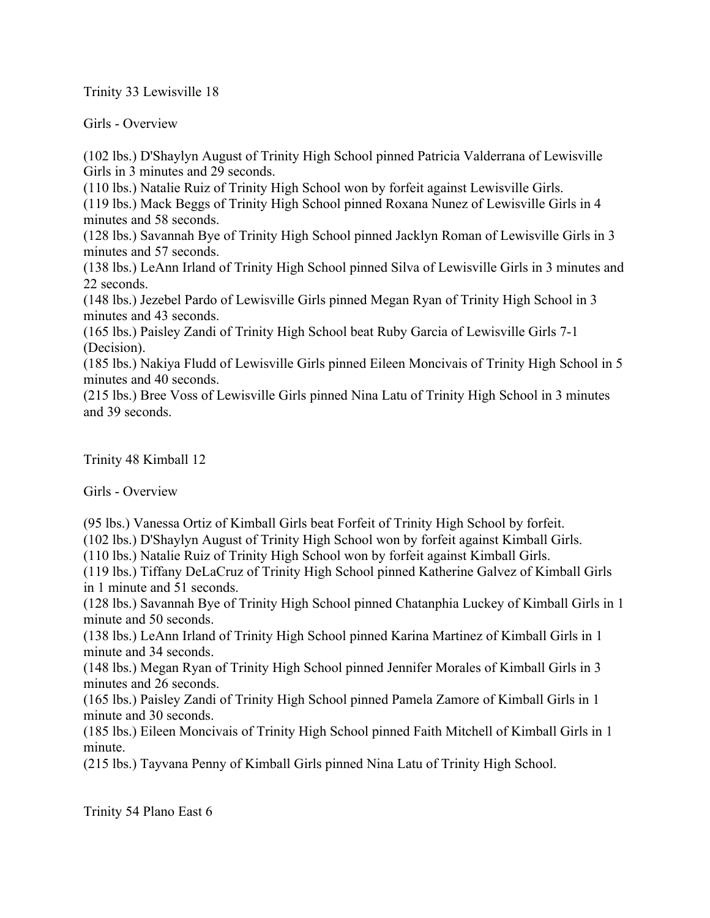Trinity 33 Lewisville 18

Girls - Overview

(102 lbs.) D'Shaylyn August of Trinity High School pinned Patricia Valderrana of Lewisville Girls in 3 minutes and 29 seconds.

(110 lbs.) Natalie Ruiz of Trinity High School won by forfeit against Lewisville Girls. (119 lbs.) Mack Beggs of Trinity High School pinned Roxana Nunez of Lewisville Girls in 4 minutes and 58 seconds.

(128 lbs.) Savannah Bye of Trinity High School pinned Jacklyn Roman of Lewisville Girls in 3 minutes and 57 seconds.

(138 lbs.) LeAnn Irland of Trinity High School pinned Silva of Lewisville Girls in 3 minutes and 22 seconds.

(148 lbs.) Jezebel Pardo of Lewisville Girls pinned Megan Ryan of Trinity High School in 3 minutes and 43 seconds.

(165 lbs.) Paisley Zandi of Trinity High School beat Ruby Garcia of Lewisville Girls 7-1 (Decision).

(185 lbs.) Nakiya Fludd of Lewisville Girls pinned Eileen Moncivais of Trinity High School in 5 minutes and 40 seconds.

(215 lbs.) Bree Voss of Lewisville Girls pinned Nina Latu of Trinity High School in 3 minutes and 39 seconds.

Trinity 48 Kimball 12

Girls - Overview

(95 lbs.) Vanessa Ortiz of Kimball Girls beat Forfeit of Trinity High School by forfeit.

(102 lbs.) D'Shaylyn August of Trinity High School won by forfeit against Kimball Girls.

(110 lbs.) Natalie Ruiz of Trinity High School won by forfeit against Kimball Girls.

(119 lbs.) Tiffany DeLaCruz of Trinity High School pinned Katherine Galvez of Kimball Girls in 1 minute and 51 seconds.

(128 lbs.) Savannah Bye of Trinity High School pinned Chatanphia Luckey of Kimball Girls in 1 minute and 50 seconds.

(138 lbs.) LeAnn Irland of Trinity High School pinned Karina Martinez of Kimball Girls in 1 minute and 34 seconds.

(148 lbs.) Megan Ryan of Trinity High School pinned Jennifer Morales of Kimball Girls in 3 minutes and 26 seconds.

(165 lbs.) Paisley Zandi of Trinity High School pinned Pamela Zamore of Kimball Girls in 1 minute and 30 seconds.

(185 lbs.) Eileen Moncivais of Trinity High School pinned Faith Mitchell of Kimball Girls in 1 minute.

(215 lbs.) Tayvana Penny of Kimball Girls pinned Nina Latu of Trinity High School.

Trinity 54 Plano East 6